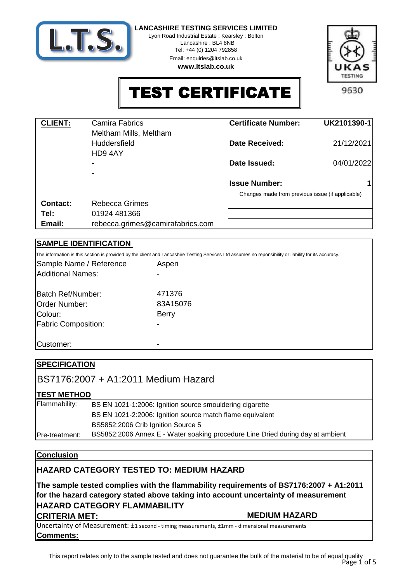

Lyon Road Industrial Estate : Kearsley : Bolton Lancashire : BL4 8NB Tel: +44 (0) 1204 792858

Email: enquiries@ltslab.co.uk

**www.ltslab.co.uk**



TEST CERTIFICATE

9630

| <b>CLIENT:</b>  | <b>Camira Fabrics</b>            | <b>Certificate Number:</b>                       | UK2101390-1 |
|-----------------|----------------------------------|--------------------------------------------------|-------------|
|                 | Meltham Mills, Meltham           |                                                  |             |
|                 | Huddersfield                     | <b>Date Received:</b>                            | 21/12/2021  |
|                 | HD9 4AY                          |                                                  |             |
|                 |                                  | Date Issued:                                     | 04/01/2022  |
|                 |                                  |                                                  |             |
|                 |                                  | <b>Issue Number:</b>                             |             |
|                 |                                  | Changes made from previous issue (if applicable) |             |
| <b>Contact:</b> | <b>Rebecca Grimes</b>            |                                                  |             |
| Tel:            | 01924 481366                     |                                                  |             |
| Email:          | rebecca.grimes@camirafabrics.com |                                                  |             |

# **SAMPLE IDENTIFICATION**

Colour: Batch Ref/Number: Order Number: Sample Name / Reference The information is this section is provided by the client and Lancashire Testing Services Ltd assumes no reponsibility or liability for its accuracy. 83A15076 Berry Aspen 471376 Fabric Composition: Additional Names:

-

-

Customer:

| <b>SPECIFICATION</b> |                                                                                |
|----------------------|--------------------------------------------------------------------------------|
|                      | BS7176:2007 + A1:2011 Medium Hazard                                            |
| <b>TEST METHOD</b>   |                                                                                |
| Flammability:        | BS EN 1021-1:2006: Ignition source smouldering cigarette                       |
|                      | BS EN 1021-2:2006: Ignition source match flame equivalent                      |
|                      | BS5852:2006 Crib Ignition Source 5                                             |
| IPre-treatment:      | BS5852:2006 Annex E - Water soaking procedure Line Dried during day at ambient |
|                      |                                                                                |

# **Conclusion**

# **HAZARD CATEGORY TESTED TO: MEDIUM HAZARD**

**The sample tested complies with the flammability requirements of BS7176:2007 + A1:2011 for the hazard category stated above taking into account uncertainty of measurement HAZARD CATEGORY FLAMMABILITY** 

# **CRITERIA MET:** MEDIUM HAZARD

**Comments:** Uncertainty of Measurement: ±1 second - timing measurements, ±1mm - dimensional measurements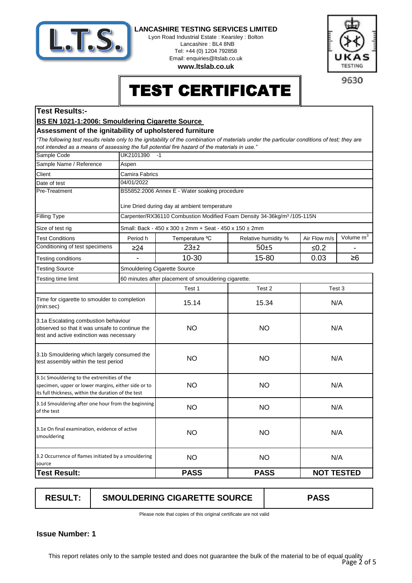

Lyon Road Industrial Estate : Kearsley : Bolton Lancashire : BL4 8NB Tel: +44 (0) 1204 792858 Email: enquiries@ltslab.co.uk

**www.ltslab.co.uk**



9630

# TEST CERTIFICATE

#### **Test Results:-**

### **BS EN 1021-1:2006: Smouldering Cigarette Source**

#### **Assessment of the ignitability of upholstered furniture**

*"The following test results relate only to the ignitability of the combination of materials under the particular conditions of test; they are not intended as a means of assessing the full potential fire hazard of the materials in use."*

| Sample Code                                                                                                                                              | UK2101390<br>$-1$                                    |                                                                                     |                     |                                       |  |  |
|----------------------------------------------------------------------------------------------------------------------------------------------------------|------------------------------------------------------|-------------------------------------------------------------------------------------|---------------------|---------------------------------------|--|--|
| Sample Name / Reference                                                                                                                                  | Aspen                                                |                                                                                     |                     |                                       |  |  |
| Client                                                                                                                                                   | Camira Fabrics                                       |                                                                                     |                     |                                       |  |  |
| Date of test                                                                                                                                             | 04/01/2022                                           |                                                                                     |                     |                                       |  |  |
| Pre-Treatment                                                                                                                                            |                                                      | BS5852:2006 Annex E - Water soaking procedure                                       |                     |                                       |  |  |
|                                                                                                                                                          |                                                      | Line Dried during day at ambient temperature                                        |                     |                                       |  |  |
| <b>Filling Type</b>                                                                                                                                      |                                                      | Carpenter/RX36110 Combustion Modified Foam Density 34-36kg/m <sup>3</sup> /105-115N |                     |                                       |  |  |
| Size of test rig                                                                                                                                         |                                                      | Small: Back - 450 x 300 ± 2mm + Seat - 450 x 150 ± 2mm                              |                     |                                       |  |  |
| <b>Test Conditions</b>                                                                                                                                   | Period h                                             | Temperature °C                                                                      | Relative humidity % | Volume m <sup>3</sup><br>Air Flow m/s |  |  |
| Conditioning of test specimens                                                                                                                           | $\geq$ 24                                            | $23+2$                                                                              | 50±5                | $≤0.2$                                |  |  |
| Testing conditions                                                                                                                                       |                                                      | 10-30                                                                               | 15-80               | 0.03<br>$\geq 6$                      |  |  |
| <b>Testing Source</b>                                                                                                                                    |                                                      | Smouldering Cigarette Source                                                        |                     |                                       |  |  |
| Testing time limit                                                                                                                                       | 60 minutes after placement of smouldering cigarette. |                                                                                     |                     |                                       |  |  |
|                                                                                                                                                          |                                                      | Test 1                                                                              | Test 2              | Test <sub>3</sub>                     |  |  |
| Time for cigarette to smoulder to completion<br>(min:sec)                                                                                                |                                                      | 15.14                                                                               | 15.34               | N/A                                   |  |  |
| 3.1a Escalating combustion behaviour<br>observed so that it was unsafe to continue the<br>test and active extinction was necessary                       |                                                      | <b>NO</b>                                                                           | <b>NO</b>           | N/A                                   |  |  |
| 3.1b Smouldering which largely consumed the<br>test assembly within the test period                                                                      |                                                      | <b>NO</b>                                                                           | <b>NO</b>           | N/A                                   |  |  |
| 3.1c Smouldering to the extremities of the<br>specimen, upper or lower margins, either side or to<br>its full thickness, within the duration of the test |                                                      | <b>NO</b>                                                                           | <b>NO</b>           | N/A                                   |  |  |
| 3.1d Smouldering after one hour from the beginning<br>of the test                                                                                        |                                                      | <b>NO</b>                                                                           | <b>NO</b>           | N/A                                   |  |  |
| 3.1e On final examination, evidence of active<br>smouldering                                                                                             |                                                      | <b>NO</b>                                                                           | <b>NO</b>           | N/A                                   |  |  |
| 3.2 Occurrence of flames initiated by a smouldering<br>source                                                                                            |                                                      | <b>NO</b>                                                                           | <b>NO</b>           | N/A                                   |  |  |
| <b>Test Result:</b>                                                                                                                                      |                                                      | <b>PASS</b>                                                                         | <b>PASS</b>         | <b>NOT TESTED</b>                     |  |  |
|                                                                                                                                                          |                                                      |                                                                                     |                     |                                       |  |  |

**RESULT: SMOULDERING CIGARETTE SOURCE PASS**

Please note that copies of this original certificate are not valid

**1 Issue Number:**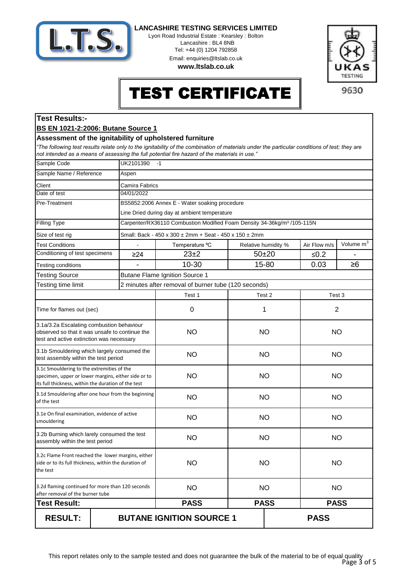

Lyon Road Industrial Estate : Kearsley : Bolton Lancashire : BL4 8NB Tel: +44 (0) 1204 792858 Email: enquiries@ltslab.co.uk

**www.ltslab.co.uk**



# TEST CERTIFICATE

# **Test Results:-**

#### **BS EN 1021-2:2006: Butane Source 1**

#### **Assessment of the ignitability of upholstered furniture**

*"The following test results relate only to the ignitability of the combination of materials under the particular conditions of test; they are not intended as a means of assessing the full potential fire hazard of the materials in use."*

| Sample Code                                                                                                                                              | UK2101390  | $-1$                                                                                |                                     |                        |                       |           |  |
|----------------------------------------------------------------------------------------------------------------------------------------------------------|------------|-------------------------------------------------------------------------------------|-------------------------------------|------------------------|-----------------------|-----------|--|
| Sample Name / Reference                                                                                                                                  | Aspen      |                                                                                     |                                     |                        |                       |           |  |
| Client                                                                                                                                                   |            | Camira Fabrics                                                                      |                                     |                        |                       |           |  |
| Date of test                                                                                                                                             | 04/01/2022 |                                                                                     |                                     |                        |                       |           |  |
| Pre-Treatment                                                                                                                                            |            | BS5852:2006 Annex E - Water soaking procedure                                       |                                     |                        |                       |           |  |
|                                                                                                                                                          |            | Line Dried during day at ambient temperature                                        |                                     |                        |                       |           |  |
| Filling Type                                                                                                                                             |            | Carpenter/RX36110 Combustion Modified Foam Density 34-36kg/m <sup>3</sup> /105-115N |                                     |                        |                       |           |  |
| Size of test rig                                                                                                                                         |            | Small: Back - 450 x 300 ± 2mm + Seat - 450 x 150 ± 2mm                              |                                     |                        |                       |           |  |
| <b>Test Conditions</b>                                                                                                                                   |            | Temperature °C                                                                      | Air Flow m/s<br>Relative humidity % |                        | Volume m <sup>3</sup> |           |  |
| Conditioning of test specimens                                                                                                                           | $\geq$ 24  | 23±2                                                                                | $50 + 20$                           |                        | ≤ $0.2$               |           |  |
| Testing conditions                                                                                                                                       |            | 10-30                                                                               |                                     | 15-80                  | 0.03                  | $\geq 6$  |  |
| <b>Testing Source</b>                                                                                                                                    |            | <b>Butane Flame Ignition Source 1</b>                                               |                                     |                        |                       |           |  |
| Testing time limit                                                                                                                                       |            | 2 minutes after removal of burner tube (120 seconds)                                |                                     |                        |                       |           |  |
|                                                                                                                                                          |            | Test 1                                                                              |                                     | Test 2                 | Test 3                |           |  |
| Time for flames out (sec)                                                                                                                                |            | 0                                                                                   | 1                                   |                        | $\overline{2}$        |           |  |
| 3.1a/3.2a Escalating combustion behaviour<br>observed so that it was unsafe to continue the<br>test and active extinction was necessary                  |            | <b>NO</b>                                                                           | <b>NO</b>                           |                        | <b>NO</b>             |           |  |
| 3.1b Smouldering which largely consumed the<br>test assembly within the test period                                                                      |            | <b>NO</b>                                                                           | <b>NO</b>                           |                        | <b>NO</b>             |           |  |
| 3.1c Smouldering to the extremities of the<br>specimen, upper or lower margins, either side or to<br>its full thickness, within the duration of the test |            | <b>NO</b>                                                                           |                                     | <b>NO</b><br><b>NO</b> |                       |           |  |
| 3.1d Smouldering after one hour from the beginning<br>of the test                                                                                        |            | <b>NO</b>                                                                           | <b>NO</b>                           |                        |                       | <b>NO</b> |  |
| 3.1e On final examination, evidence of active<br>smouldering                                                                                             |            | <b>NO</b>                                                                           | <b>NO</b>                           |                        | <b>NO</b>             |           |  |
| 3.2b Burning which larely consumed the test<br>assembly within the test period                                                                           |            | <b>NO</b>                                                                           | <b>NO</b>                           |                        | <b>NO</b>             |           |  |
| 3.2c Flame Front reached the lower margins, either<br>side or to its full thickness, within the duration of<br>the test                                  |            | <b>NO</b>                                                                           | <b>NO</b>                           |                        | <b>NO</b>             |           |  |
| 3.2d flaming continued for more than 120 seconds<br>after removal of the burner tube                                                                     |            | <b>NO</b>                                                                           | <b>NO</b>                           |                        | <b>NO</b>             |           |  |
| <b>Test Result:</b>                                                                                                                                      |            | <b>PASS</b>                                                                         | <b>PASS</b>                         |                        | <b>PASS</b>           |           |  |
| <b>RESULT:</b>                                                                                                                                           |            | <b>BUTANE IGNITION SOURCE 1</b><br><b>PASS</b>                                      |                                     |                        |                       |           |  |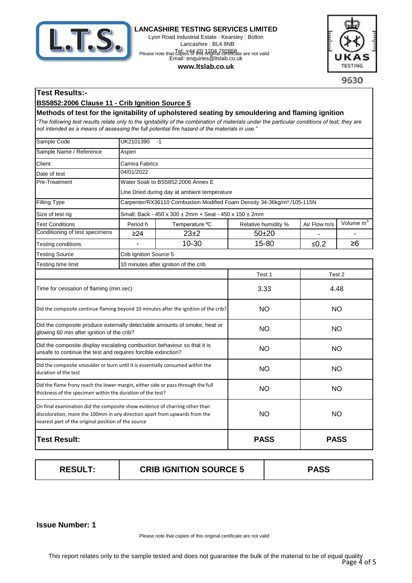

Lyon Road Industrial Estate : Kearsley : Bolton Lancashire : BL4 8NB Tel: +44 (0) 1204 792858 Please note that copies of this driving certificate are not valid<br>Email: enquiries@ltslab.co.uk

#### **www.ltslab.co.uk**



9630

# **Test Results:-**

### **BS5852:2006 Clause 11 - Crib Ignition Source 5**

**Methods of test for the ignitability of upholstered seating by smouldering and flaming ignition**  *"The following test results relate only to the ignitability of the combination of materials under the particular conditions of test; they are* **sources** *not intended as a means of assessing the full potential fire hazard of the materials in use."*

| Sample Code                                                                                                                                                                                                      | UK2101390<br>$-1$                            |                                                                                     |                     |              |                       |
|------------------------------------------------------------------------------------------------------------------------------------------------------------------------------------------------------------------|----------------------------------------------|-------------------------------------------------------------------------------------|---------------------|--------------|-----------------------|
| Sample Name / Reference                                                                                                                                                                                          | Aspen                                        |                                                                                     |                     |              |                       |
| Client                                                                                                                                                                                                           | Camira Fabrics                               |                                                                                     |                     |              |                       |
| Date of test                                                                                                                                                                                                     | 04/01/2022                                   |                                                                                     |                     |              |                       |
| Pre-Treatment                                                                                                                                                                                                    |                                              | Water Soak to BS5852:2006 Annex E                                                   |                     |              |                       |
|                                                                                                                                                                                                                  | Line Dried during day at ambient temperature |                                                                                     |                     |              |                       |
| <b>Filling Type</b>                                                                                                                                                                                              |                                              | Carpenter/RX36110 Combustion Modified Foam Density 34-36kg/m <sup>3</sup> /105-115N |                     |              |                       |
| Size of test rig                                                                                                                                                                                                 |                                              | Small: Back - 450 x 300 ± 2mm + Seat - 450 x 150 ± 2mm                              |                     |              |                       |
| <b>Test Conditions</b>                                                                                                                                                                                           | Period h                                     | Temperature °C                                                                      | Relative humidity % | Air Flow m/s | Volume m <sup>3</sup> |
| Conditioning of test specimens                                                                                                                                                                                   | $\geq$ 24                                    | $23\pm2$                                                                            | $50 + 20$           |              |                       |
| Testing conditions                                                                                                                                                                                               |                                              | 10-30                                                                               | 15-80               | ≤ $0.2$      | $\geq 6$              |
| <b>Testing Source</b>                                                                                                                                                                                            | Crib Ignition Source 5                       |                                                                                     |                     |              |                       |
| Testing time limit                                                                                                                                                                                               |                                              | 10 minutes after ignition of the crib                                               |                     |              |                       |
|                                                                                                                                                                                                                  |                                              |                                                                                     | Test 1              | Test 2       |                       |
| Time for cessation of flaming (min.sec)                                                                                                                                                                          |                                              | 3.33                                                                                | 4.48                |              |                       |
| Did the composite continue flaming beyond 10 minutes after the ignition of the crib?                                                                                                                             |                                              | <b>NO</b>                                                                           | <b>NO</b>           |              |                       |
| Did the composite produce externally detectable amounts of smoke, heat or<br>glowing 60 min after ignition of the crib?                                                                                          |                                              |                                                                                     | <b>NO</b>           | <b>NO</b>    |                       |
| Did the composite display escalating combustion behaviour so that it is<br>unsafe to continue the test and requires forcible extinction?                                                                         |                                              |                                                                                     | NO                  | NO           |                       |
| Did the composite smoulder or burn until it is essentially consumed within the<br>duration of the test                                                                                                           |                                              |                                                                                     | <b>NO</b>           | <b>NO</b>    |                       |
| Did the flame frony reach the lower margin, either side or pass through the full<br>thickness of the specimen within the duration of the test?                                                                   |                                              |                                                                                     | <b>NO</b>           | <b>NO</b>    |                       |
| On final examination did the composite show evidence of charring other than<br>discoloration, more the 100mm in any direction apart from upwards from the<br>nearest part of the original position of the source |                                              | <b>NO</b>                                                                           | <b>NO</b>           |              |                       |
| <b>Test Result:</b>                                                                                                                                                                                              |                                              |                                                                                     | <b>PASS</b>         | <b>PASS</b>  |                       |

| <b>RESULT:</b> | <b>CRIB IGNITION SOURCE 5</b> | <b>PASS</b> |
|----------------|-------------------------------|-------------|
|                |                               |             |

#### **1 Issue Number:**

Please note that copies of this original certificate are not valid